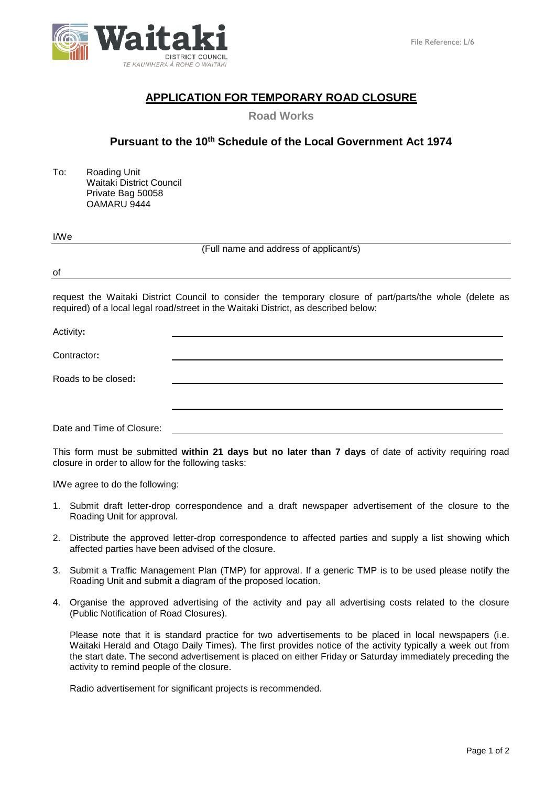

## **APPLICATION FOR TEMPORARY ROAD CLOSURE**

**Road Works**

# **Pursuant to the 10th Schedule of the Local Government Act 1974**

To: Roading Unit Waitaki District Council Private Bag 50058 OAMARU 9444

#### I/We

(Full name and address of applicant/s)

of

request the Waitaki District Council to consider the temporary closure of part/parts/the whole (delete as required) of a local legal road/street in the Waitaki District, as described below:

Activity**:** Contractor**:** Roads to be closed**:**

Date and Time of Closure:

This form must be submitted **within 21 days but no later than 7 days** of date of activity requiring road closure in order to allow for the following tasks:

I/We agree to do the following:

- 1. Submit draft letter-drop correspondence and a draft newspaper advertisement of the closure to the Roading Unit for approval.
- 2. Distribute the approved letter-drop correspondence to affected parties and supply a list showing which affected parties have been advised of the closure.
- 3. Submit a Traffic Management Plan (TMP) for approval. If a generic TMP is to be used please notify the Roading Unit and submit a diagram of the proposed location.
- 4. Organise the approved advertising of the activity and pay all advertising costs related to the closure (Public Notification of Road Closures).

Please note that it is standard practice for two advertisements to be placed in local newspapers (i.e. Waitaki Herald and Otago Daily Times). The first provides notice of the activity typically a week out from the start date. The second advertisement is placed on either Friday or Saturday immediately preceding the activity to remind people of the closure.

Radio advertisement for significant projects is recommended.